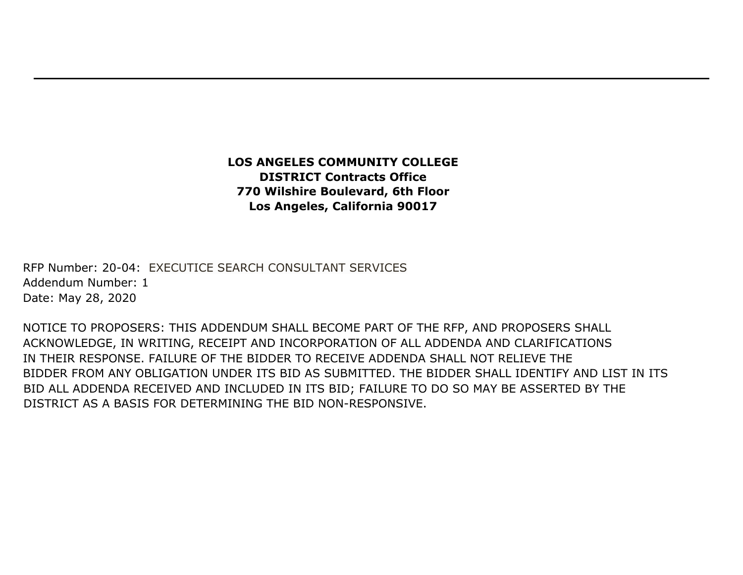## **LOS ANGELES COMMUNITY COLLEGE DISTRICT Contracts Office 770 Wilshire Boulevard, 6th Floor Los Angeles, California 90017**

RFP Number: 20-04: EXECUTICE SEARCH CONSULTANT SERVICES Addendum Number: 1 Date: May 28, 2020

NOTICE TO PROPOSERS: THIS ADDENDUM SHALL BECOME PART OF THE RFP, AND PROPOSERS SHALL ACKNOWLEDGE, IN WRITING, RECEIPT AND INCORPORATION OF ALL ADDENDA AND CLARIFICATIONS IN THEIR RESPONSE. FAILURE OF THE BIDDER TO RECEIVE ADDENDA SHALL NOT RELIEVE THE BIDDER FROM ANY OBLIGATION UNDER ITS BID AS SUBMITTED. THE BIDDER SHALL IDENTIFY AND LIST IN ITS BID ALL ADDENDA RECEIVED AND INCLUDED IN ITS BID; FAILURE TO DO SO MAY BE ASSERTED BY THE DISTRICT AS A BASIS FOR DETERMINING THE BID NON-RESPONSIVE.